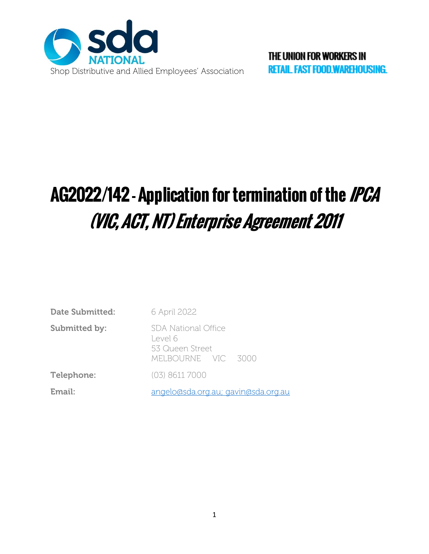

# AG2022/142 - Application for termination of the IPCA (VIC, ACT, NT) Enterprise Agreement 2011

| Date Submitted:      | 6 April 2022                                                            |
|----------------------|-------------------------------------------------------------------------|
| <b>Submitted by:</b> | SDA National Office<br>Level 6<br>53 Queen Street<br>MELBOURNE VIC 3000 |
| Telephone:           | (03) 8611 7000                                                          |
| Email:               | angelo@sda.org.au; gavin@sda.org.au                                     |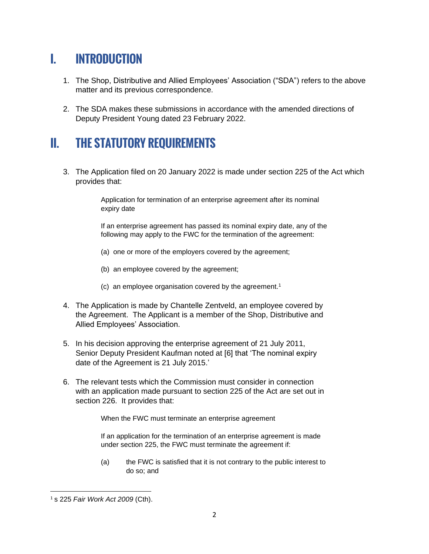## I. INTRODUCTION

- 1. The Shop, Distributive and Allied Employees' Association ("SDA") refers to the above matter and its previous correspondence.
- 2. The SDA makes these submissions in accordance with the amended directions of Deputy President Young dated 23 February 2022.

## II. THE STATUTORY REQUIREMENTS

3. The Application filed on 20 January 2022 is made under section 225 of the Act which provides that:

> Application for termination of an enterprise agreement after its nominal expiry date

If an enterprise agreement has passed its nominal expiry date, any of the following may apply to the FWC for the termination of the agreement:

- (a) one or more of the employers covered by the agreement;
- (b) an employee covered by the agreement;
- (c) an employee organisation covered by the agreement.<sup>1</sup>
- 4. The Application is made by Chantelle Zentveld, an employee covered by the Agreement. The Applicant is a member of the Shop, Distributive and Allied Employees' Association.
- 5. In his decision approving the enterprise agreement of 21 July 2011, Senior Deputy President Kaufman noted at [6] that 'The nominal expiry date of the Agreement is 21 July 2015.'
- 6. The relevant tests which the Commission must consider in connection with an application made pursuant to section 225 of the Act are set out in section 226. It provides that:

When the FWC must terminate an enterprise agreement

If an application for the termination of an enterprise agreement is made under section 225, the FWC must terminate the agreement if:

(a) the FWC is satisfied that it is not contrary to the public interest to do so; and

<sup>1</sup> s 225 *Fair Work Act 2009* (Cth).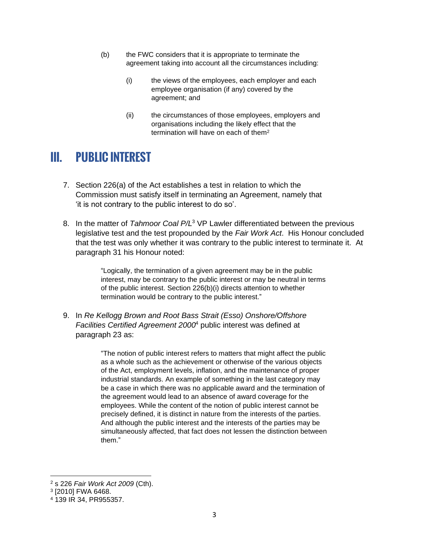- (b) the FWC considers that it is appropriate to terminate the agreement taking into account all the circumstances including:
	- (i) the views of the employees, each employer and each employee organisation (if any) covered by the agreement; and
	- (ii) the circumstances of those employees, employers and organisations including the likely effect that the termination will have on each of them<sup>2</sup>

#### III. PUBLIC INTEREST

- 7. Section 226(a) of the Act establishes a test in relation to which the Commission must satisfy itself in terminating an Agreement, namely that 'it is not contrary to the public interest to do so'.
- 8. In the matter of *Tahmoor Coal P/L* <sup>3</sup> VP Lawler differentiated between the previous legislative test and the test propounded by the *Fair Work Act*. His Honour concluded that the test was only whether it was contrary to the public interest to terminate it. At paragraph 31 his Honour noted:

"Logically, the termination of a given agreement may be in the public interest, may be contrary to the public interest or may be neutral in terms of the public interest. Section 226(b)(i) directs attention to whether termination would be contrary to the public interest."

9. In *Re Kellogg Brown and Root Bass Strait (Esso) Onshore/Offshore Facilities Certified Agreement 2000* <sup>4</sup> public interest was defined at paragraph 23 as:

> "The notion of public interest refers to matters that might affect the public as a whole such as the achievement or otherwise of the various objects of the Act, employment levels, inflation, and the maintenance of proper industrial standards. An example of something in the last category may be a case in which there was no applicable award and the termination of the agreement would lead to an absence of award coverage for the employees. While the content of the notion of public interest cannot be precisely defined, it is distinct in nature from the interests of the parties. And although the public interest and the interests of the parties may be simultaneously affected, that fact does not lessen the distinction between them."

<sup>2</sup> s 226 *Fair Work Act 2009* (Cth).

<sup>3</sup> [2010] FWA 6468.

<sup>4</sup> 139 IR 34, PR955357.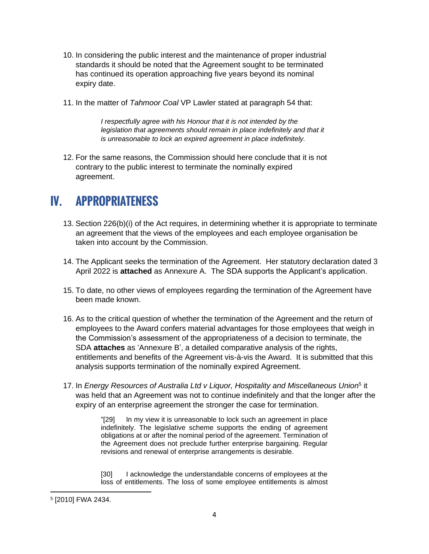- 10. In considering the public interest and the maintenance of proper industrial standards it should be noted that the Agreement sought to be terminated has continued its operation approaching five years beyond its nominal expiry date.
- 11. In the matter of *Tahmoor Coal* VP Lawler stated at paragraph 54 that:

*I respectfully agree with his Honour that it is not intended by the*  legislation that agreements should remain in place indefinitely and that it *is unreasonable to lock an expired agreement in place indefinitely.* 

12. For the same reasons, the Commission should here conclude that it is not contrary to the public interest to terminate the nominally expired agreement.

#### IV. APPROPRIATENESS

- 13. Section 226(b)(i) of the Act requires, in determining whether it is appropriate to terminate an agreement that the views of the employees and each employee organisation be taken into account by the Commission.
- 14. The Applicant seeks the termination of the Agreement. Her statutory declaration dated 3 April 2022 is **attached** as Annexure A. The SDA supports the Applicant's application.
- 15. To date, no other views of employees regarding the termination of the Agreement have been made known.
- 16. As to the critical question of whether the termination of the Agreement and the return of employees to the Award confers material advantages for those employees that weigh in the Commission's assessment of the appropriateness of a decision to terminate, the SDA **attaches** as 'Annexure B', a detailed comparative analysis of the rights, entitlements and benefits of the Agreement vis-à-vis the Award. It is submitted that this analysis supports termination of the nominally expired Agreement.
- 17. In *Energy Resources of Australia Ltd v Liquor, Hospitality and Miscellaneous Union*<sup>5</sup> it was held that an Agreement was not to continue indefinitely and that the longer after the expiry of an enterprise agreement the stronger the case for termination.

"[29] In my view it is unreasonable to lock such an agreement in place indefinitely. The legislative scheme supports the ending of agreement obligations at or after the nominal period of the agreement. Termination of the Agreement does not preclude further enterprise bargaining. Regular revisions and renewal of enterprise arrangements is desirable.

[30] I acknowledge the understandable concerns of employees at the loss of entitlements. The loss of some employee entitlements is almost

<sup>5</sup> [2010] FWA 2434.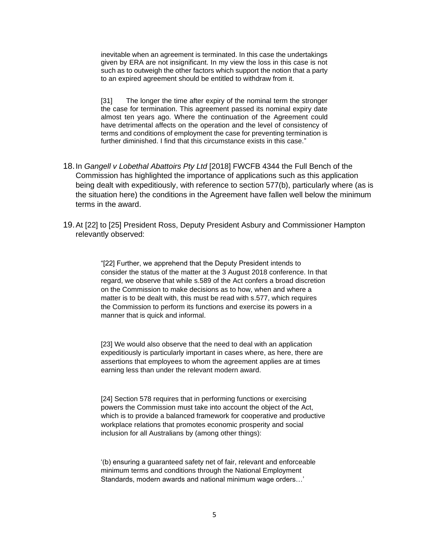inevitable when an agreement is terminated. In this case the undertakings given by ERA are not insignificant. In my view the loss in this case is not such as to outweigh the other factors which support the notion that a party to an expired agreement should be entitled to withdraw from it.

[31] The longer the time after expiry of the nominal term the stronger the case for termination. This agreement passed its nominal expiry date almost ten years ago. Where the continuation of the Agreement could have detrimental affects on the operation and the level of consistency of terms and conditions of employment the case for preventing termination is further diminished. I find that this circumstance exists in this case."

- 18.In *Gangell v Lobethal Abattoirs Pty Ltd* [2018] FWCFB 4344 the Full Bench of the Commission has highlighted the importance of applications such as this application being dealt with expeditiously, with reference to section 577(b), particularly where (as is the situation here) the conditions in the Agreement have fallen well below the minimum terms in the award.
- 19.At [22] to [25] President Ross, Deputy President Asbury and Commissioner Hampton relevantly observed:

"[22] Further, we apprehend that the Deputy President intends to consider the status of the matter at the 3 August 2018 conference. In that regard, we observe that while s.589 of the Act confers a broad discretion on the Commission to make decisions as to how, when and where a matter is to be dealt with, this must be read with s.577, which requires the Commission to perform its functions and exercise its powers in a manner that is quick and informal.

[23] We would also observe that the need to deal with an application expeditiously is particularly important in cases where, as here, there are assertions that employees to whom the agreement applies are at times earning less than under the relevant modern award.

[24] Section 578 requires that in performing functions or exercising powers the Commission must take into account the object of the Act, which is to provide a balanced framework for cooperative and productive workplace relations that promotes economic prosperity and social inclusion for all Australians by (among other things):

'(b) ensuring a guaranteed safety net of fair, relevant and enforceable minimum terms and conditions through the National Employment Standards, modern awards and national minimum wage orders…'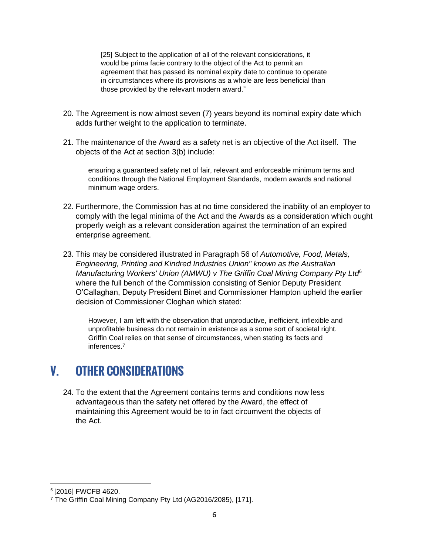[25] Subject to the application of all of the relevant considerations, it would be prima facie contrary to the object of the Act to permit an agreement that has passed its nominal expiry date to continue to operate in circumstances where its provisions as a whole are less beneficial than those provided by the relevant modern award."

- 20. The Agreement is now almost seven (7) years beyond its nominal expiry date which adds further weight to the application to terminate.
- 21. The maintenance of the Award as a safety net is an objective of the Act itself. The objects of the Act at section 3(b) include:

ensuring a guaranteed safety net of fair, relevant and enforceable minimum terms and conditions through the National Employment Standards, modern awards and national minimum wage orders.

- 22. Furthermore, the Commission has at no time considered the inability of an employer to comply with the legal minima of the Act and the Awards as a consideration which ought properly weigh as a relevant consideration against the termination of an expired enterprise agreement.
- 23. This may be considered illustrated in Paragraph 56 of *Automotive, Food, Metals, Engineering, Printing and Kindred Industries Union" known as the Australian Manufacturing Workers' Union (AMWU) v The Griffin Coal Mining Company Pty Ltd*<sup>6</sup> where the full bench of the Commission consisting of Senior Deputy President O'Callaghan, Deputy President Binet and Commissioner Hampton upheld the earlier decision of Commissioner Cloghan which stated:

However, I am left with the observation that unproductive, inefficient, inflexible and unprofitable business do not remain in existence as a some sort of societal right. Griffin Coal relies on that sense of circumstances, when stating its facts and inferences.<sup>7</sup>

#### V. OTHER CONSIDERATIONS

24. To the extent that the Agreement contains terms and conditions now less advantageous than the safety net offered by the Award, the effect of maintaining this Agreement would be to in fact circumvent the objects of the Act.

<sup>6</sup> [2016] FWCFB 4620.

<sup>7</sup> The Griffin Coal Mining Company Pty Ltd (AG2016/2085), [171].